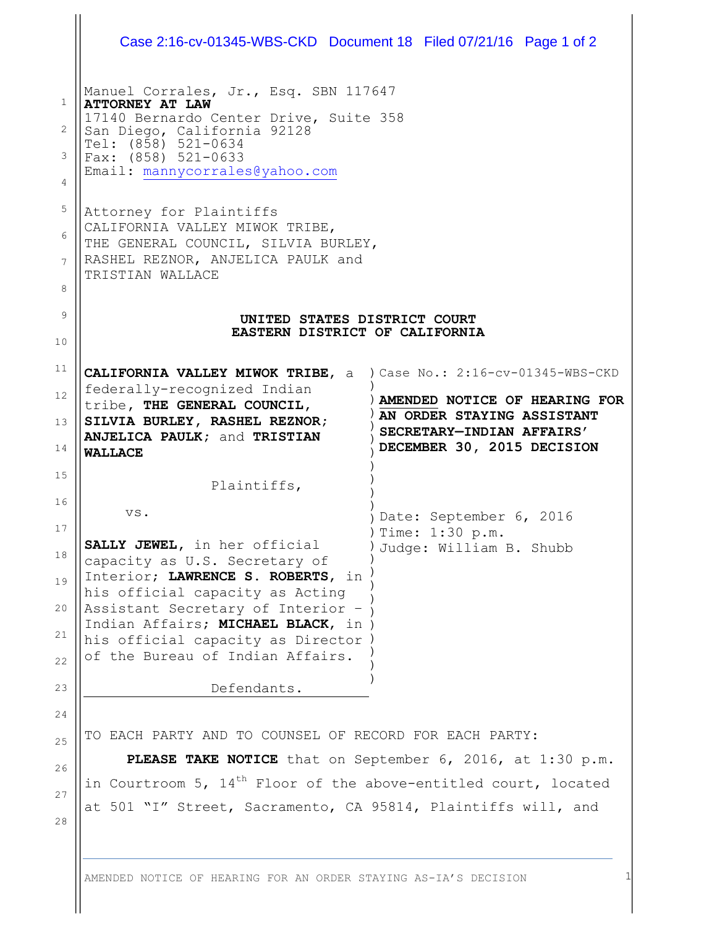|                                                                                   | Case 2:16-cv-01345-WBS-CKD Document 18 Filed 07/21/16 Page 1 of 2                                                                                                                                                                                                                                                                                                                                                                                               |                                                                                                                        |
|-----------------------------------------------------------------------------------|-----------------------------------------------------------------------------------------------------------------------------------------------------------------------------------------------------------------------------------------------------------------------------------------------------------------------------------------------------------------------------------------------------------------------------------------------------------------|------------------------------------------------------------------------------------------------------------------------|
| $\mathbf{1}$<br>2<br>3<br>$\overline{4}$<br>$\mathsf S$<br>6<br>7<br>8<br>9<br>10 | Manuel Corrales, Jr., Esq. SBN 117647<br><b>ATTORNEY AT LAW</b><br>17140 Bernardo Center Drive, Suite 358<br>San Diego, California 92128<br>Tel: $(8\bar{5}8)$ 521-0634<br>Fax: (858) 521-0633<br>Email: mannycorrales@yahoo.com<br>Attorney for Plaintiffs<br>CALIFORNIA VALLEY MIWOK TRIBE,<br>THE GENERAL COUNCIL, SILVIA BURLEY,<br>RASHEL REZNOR, ANJELICA PAULK and<br>TRISTIAN WALLACE<br>UNITED STATES DISTRICT COURT<br>EASTERN DISTRICT OF CALIFORNIA |                                                                                                                        |
| 11<br>12<br>13<br>14                                                              | CALIFORNIA VALLEY MIWOK TRIBE, a ) Case No.: 2:16-cv-01345-WBS-CKD<br>federally-recognized Indian<br>tribe, THE GENERAL COUNCIL,<br>SILVIA BURLEY, RASHEL REZNOR;<br><b>ANJELICA PAULK; and TRISTIAN</b><br><b>WALLACE</b>                                                                                                                                                                                                                                      | AMENDED NOTICE OF HEARING FOR<br>AN ORDER STAYING ASSISTANT<br>SECRETARY-INDIAN AFFAIRS'<br>DECEMBER 30, 2015 DECISION |
| 15<br>16<br>17<br>18<br>19<br>20<br>21<br>22                                      | Plaintiffs,<br>VS.<br>SALLY JEWEL, in her official<br>capacity as U.S. Secretary of<br>Interior; LAWRENCE S. ROBERTS, in<br>his official capacity as Acting<br>Assistant Secretary of Interior -<br>Indian Affairs; MICHAEL BLACK, in )<br>his official capacity as Director<br>of the Bureau of Indian Affairs.                                                                                                                                                | Date: September 6, 2016<br>) Time: 1:30 p.m.<br>Judge: William B. Shubb                                                |
| 23<br>24<br>25<br>26<br>27<br>28                                                  | Defendants.<br>TO EACH PARTY AND TO COUNSEL OF RECORD FOR EACH PARTY:<br>PLEASE TAKE NOTICE that on September 6, 2016, at 1:30 p.m.<br>in Courtroom 5, 14 <sup>th</sup> Floor of the above-entitled court, located<br>at 501 "I" Street, Sacramento, CA 95814, Plaintiffs will, and                                                                                                                                                                             |                                                                                                                        |

AMENDED NOTICE OF HEARING FOR AN ORDER STAYING AS-IA'S DECISION 1